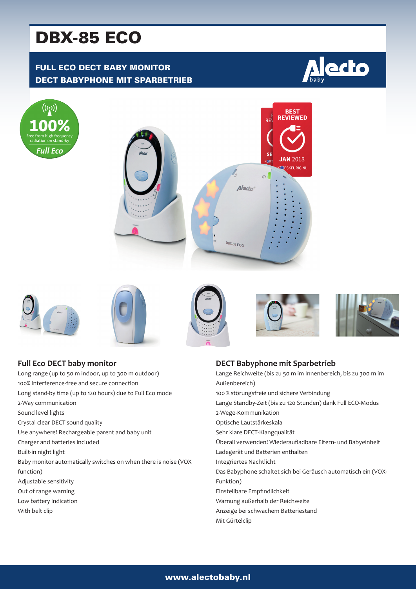# DBX-85 ECO

## FULL ECO DECT BABY MONITOR DECT BABYPHONE MIT SPARBETRIEB

















| <b>Full Eco DECT baby monitor</b>                               | DE    |
|-----------------------------------------------------------------|-------|
| Long range (up to 50 m indoor, up to 300 m outdoor)             | Lan   |
| 100% Interference-free and secure connection                    | Auß   |
| Long stand-by time (up to 120 hours) due to Full Eco mode       | 100   |
| 2-Way communication                                             | Lan   |
| Sound level lights                                              | $2-W$ |
| Crystal clear DECT sound quality                                | Opt   |
| Use anywhere! Rechargeable parent and baby unit                 | Seh   |
| Charger and batteries included                                  | Übe   |
| Built-in night light                                            | Lad   |
| Baby monitor automatically switches on when there is noise (VOX | Inte  |
| function)                                                       | Das   |
| Adjustable sensitivity                                          | Fun   |
| Out of range warning                                            | Eins  |
| Low battery indication                                          | Wai   |
| With belt clip                                                  | Anz   |
|                                                                 |       |

#### **DECT Babyphone mit Sparbetrieb**

| Lange Reichweite (bis zu 50 m im Innenbereich, bis zu 300 m im |
|----------------------------------------------------------------|
| Außenbereich)                                                  |
| 100 % störungsfreie und sichere Verbindung                     |
| Lange Standby-Zeit (bis zu 120 Stunden) dank Full ECO-Modus    |
| 2-Wege-Kommunikation                                           |
| Optische Lautstärkeskala                                       |
| Sehr klare DECT-Klangqualität                                  |
| Überall verwenden! Wiederaufladbare Eltern- und Babyeinheit    |
| Ladegerät und Batterien enthalten                              |
| Integriertes Nachtlicht                                        |
| Das Babyphone schaltet sich bei Geräusch automatisch ein (VOX- |
| Funktion)                                                      |
| Einstellbare Empfindlichkeit                                   |
| Warnung außerhalb der Reichweite                               |
| Anzeige bei schwachem Batteriestand                            |
| Mit Gürtelclip                                                 |